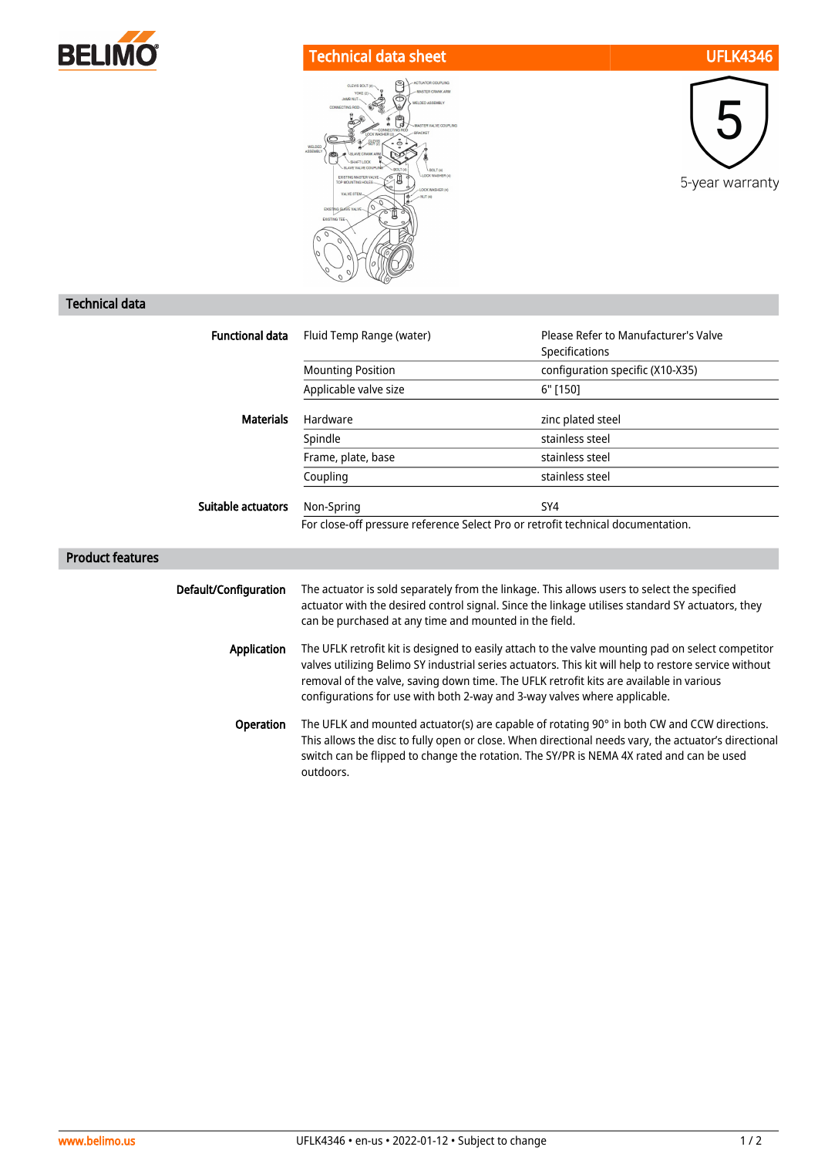

## Technical data sheet UFLK4346





## Technical data

| <b>Functional data</b>  | Fluid Temp Range (water)                                                                                                                                                                                                                                                                                                                                                           | Please Refer to Manufacturer's Valve |
|-------------------------|------------------------------------------------------------------------------------------------------------------------------------------------------------------------------------------------------------------------------------------------------------------------------------------------------------------------------------------------------------------------------------|--------------------------------------|
|                         |                                                                                                                                                                                                                                                                                                                                                                                    | Specifications                       |
|                         | <b>Mounting Position</b>                                                                                                                                                                                                                                                                                                                                                           | configuration specific (X10-X35)     |
|                         | Applicable valve size                                                                                                                                                                                                                                                                                                                                                              | 6" [150]                             |
| <b>Materials</b>        | Hardware                                                                                                                                                                                                                                                                                                                                                                           | zinc plated steel                    |
|                         | Spindle                                                                                                                                                                                                                                                                                                                                                                            | stainless steel                      |
|                         | Frame, plate, base                                                                                                                                                                                                                                                                                                                                                                 | stainless steel                      |
|                         | Coupling                                                                                                                                                                                                                                                                                                                                                                           | stainless steel                      |
| Suitable actuators      | Non-Spring                                                                                                                                                                                                                                                                                                                                                                         | SY4                                  |
|                         | For close-off pressure reference Select Pro or retrofit technical documentation.                                                                                                                                                                                                                                                                                                   |                                      |
| <b>Product features</b> |                                                                                                                                                                                                                                                                                                                                                                                    |                                      |
| Default/Configuration   | The actuator is sold separately from the linkage. This allows users to select the specified<br>actuator with the desired control signal. Since the linkage utilises standard SY actuators, they<br>can be purchased at any time and mounted in the field.                                                                                                                          |                                      |
| Application             | The UFLK retrofit kit is designed to easily attach to the valve mounting pad on select competitor<br>valves utilizing Belimo SY industrial series actuators. This kit will help to restore service without<br>removal of the valve, saving down time. The UFLK retrofit kits are available in various<br>configurations for use with both 2-way and 3-way valves where applicable. |                                      |
| Operation               | The UFLK and mounted actuator(s) are capable of rotating 90° in both CW and CCW directions.<br>This allows the disc to fully open or close. When directional needs vary, the actuator's directional<br>switch can be flipped to change the rotation. The SY/PR is NEMA 4X rated and can be used<br>outdoors.                                                                       |                                      |